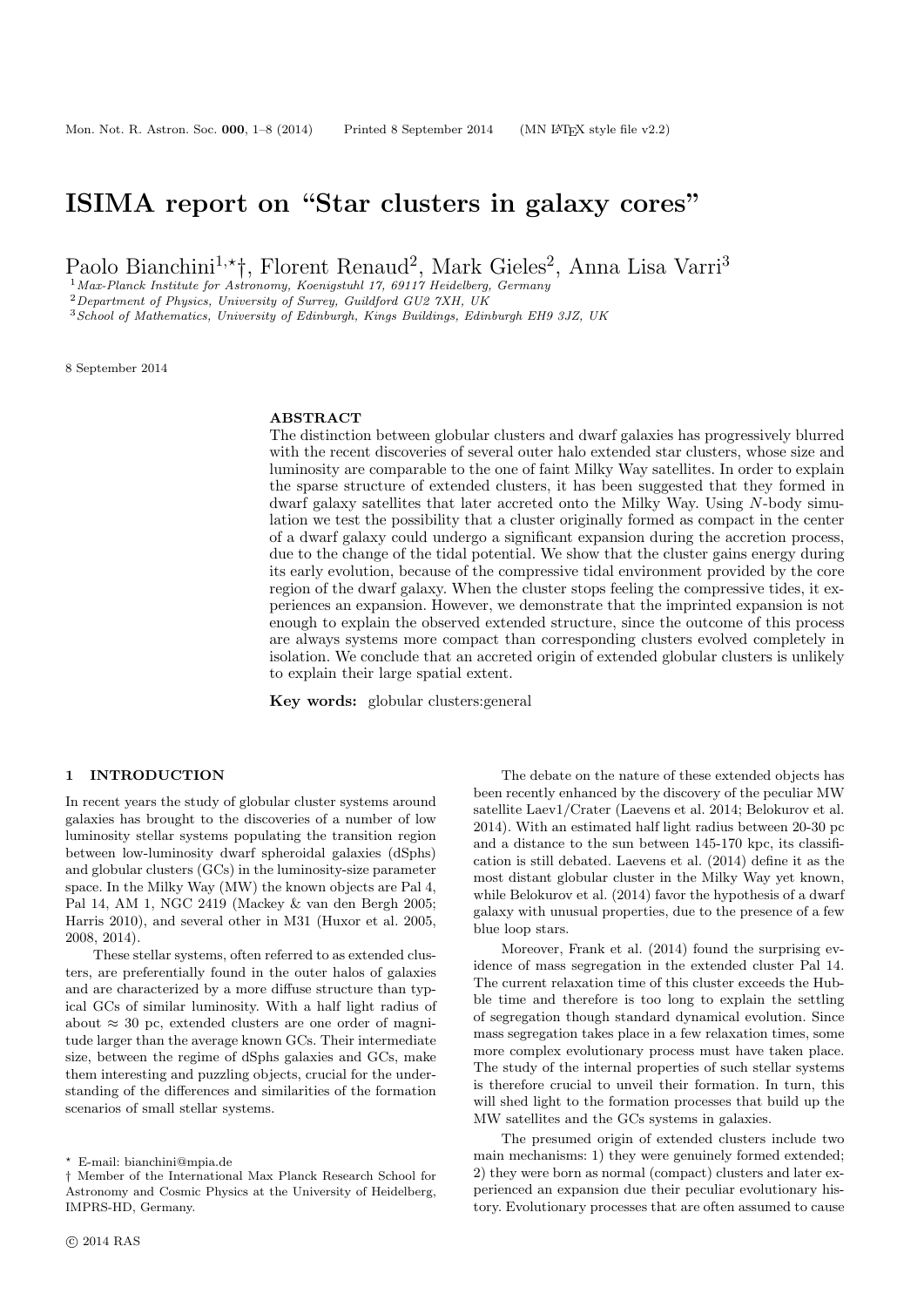# ISIMA report on "Star clusters in galaxy cores"

Paolo Bianchini<sup>1,\*</sup>†, Florent Renaud<sup>2</sup>, Mark Gieles<sup>2</sup>, Anna Lisa Varri<sup>3</sup>

 $1$ Max-Planck Institute for Astronomy, Koenigstuhl 17, 69117 Heidelberg, Germany

<sup>2</sup>Department of Physics, University of Surrey, Guildford GU2 7XH, UK

<sup>3</sup>School of Mathematics, University of Edinburgh, Kings Buildings, Edinburgh EH9 3JZ, UK

8 September 2014

## ABSTRACT

The distinction between globular clusters and dwarf galaxies has progressively blurred with the recent discoveries of several outer halo extended star clusters, whose size and luminosity are comparable to the one of faint Milky Way satellites. In order to explain the sparse structure of extended clusters, it has been suggested that they formed in dwarf galaxy satellites that later accreted onto the Milky Way. Using N-body simulation we test the possibility that a cluster originally formed as compact in the center of a dwarf galaxy could undergo a significant expansion during the accretion process, due to the change of the tidal potential. We show that the cluster gains energy during its early evolution, because of the compressive tidal environment provided by the core region of the dwarf galaxy. When the cluster stops feeling the compressive tides, it experiences an expansion. However, we demonstrate that the imprinted expansion is not enough to explain the observed extended structure, since the outcome of this process are always systems more compact than corresponding clusters evolved completely in isolation. We conclude that an accreted origin of extended globular clusters is unlikely to explain their large spatial extent.

Key words: globular clusters:general

#### 1 INTRODUCTION

In recent years the study of globular cluster systems around galaxies has brought to the discoveries of a number of low luminosity stellar systems populating the transition region between low-luminosity dwarf spheroidal galaxies (dSphs) and globular clusters (GCs) in the luminosity-size parameter space. In the Milky Way (MW) the known objects are Pal 4, Pal 14, AM 1, NGC 2419 (Mackey & van den Bergh 2005; Harris 2010), and several other in M31 (Huxor et al. 2005, 2008, 2014).

These stellar systems, often referred to as extended clusters, are preferentially found in the outer halos of galaxies and are characterized by a more diffuse structure than typical GCs of similar luminosity. With a half light radius of about  $\approx 30$  pc, extended clusters are one order of magnitude larger than the average known GCs. Their intermediate size, between the regime of dSphs galaxies and GCs, make them interesting and puzzling objects, crucial for the understanding of the differences and similarities of the formation scenarios of small stellar systems.

The debate on the nature of these extended objects has been recently enhanced by the discovery of the peculiar MW satellite Laev1/Crater (Laevens et al. 2014; Belokurov et al. 2014). With an estimated half light radius between 20-30 pc and a distance to the sun between 145-170 kpc, its classification is still debated. Laevens et al. (2014) define it as the most distant globular cluster in the Milky Way yet known, while Belokurov et al. (2014) favor the hypothesis of a dwarf galaxy with unusual properties, due to the presence of a few blue loop stars.

Moreover, Frank et al. (2014) found the surprising evidence of mass segregation in the extended cluster Pal 14. The current relaxation time of this cluster exceeds the Hubble time and therefore is too long to explain the settling of segregation though standard dynamical evolution. Since mass segregation takes place in a few relaxation times, some more complex evolutionary process must have taken place. The study of the internal properties of such stellar systems is therefore crucial to unveil their formation. In turn, this will shed light to the formation processes that build up the MW satellites and the GCs systems in galaxies.

The presumed origin of extended clusters include two main mechanisms: 1) they were genuinely formed extended; 2) they were born as normal (compact) clusters and later experienced an expansion due their peculiar evolutionary history. Evolutionary processes that are often assumed to cause

<sup>?</sup> E-mail: bianchini@mpia.de

<sup>†</sup> Member of the International Max Planck Research School for Astronomy and Cosmic Physics at the University of Heidelberg, IMPRS-HD, Germany.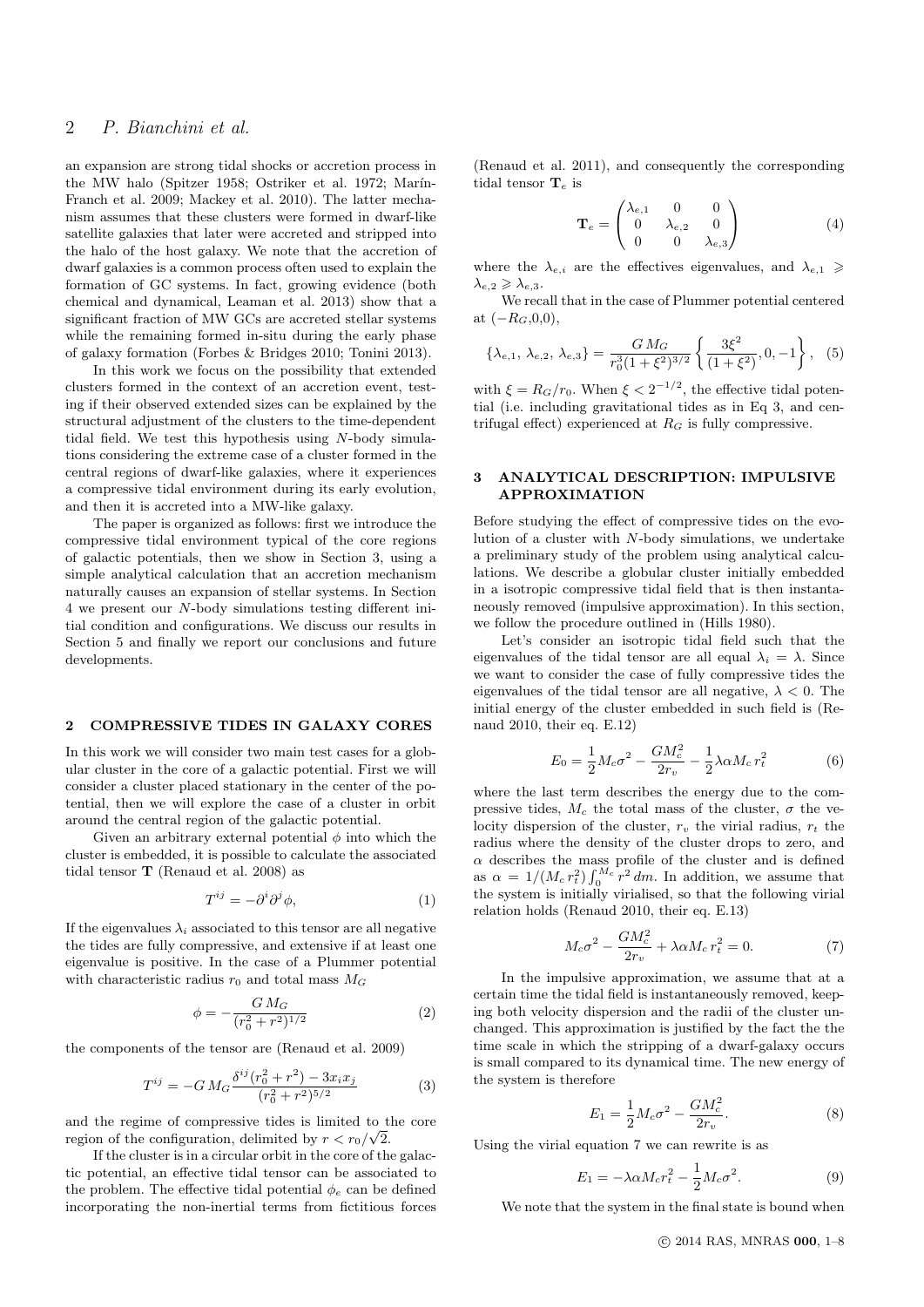# 2 P. Bianchini et al.

an expansion are strong tidal shocks or accretion process in the MW halo (Spitzer 1958; Ostriker et al. 1972; Marín-Franch et al. 2009; Mackey et al. 2010). The latter mechanism assumes that these clusters were formed in dwarf-like satellite galaxies that later were accreted and stripped into the halo of the host galaxy. We note that the accretion of dwarf galaxies is a common process often used to explain the formation of GC systems. In fact, growing evidence (both chemical and dynamical, Leaman et al. 2013) show that a significant fraction of MW GCs are accreted stellar systems while the remaining formed in-situ during the early phase of galaxy formation (Forbes & Bridges 2010; Tonini 2013).

In this work we focus on the possibility that extended clusters formed in the context of an accretion event, testing if their observed extended sizes can be explained by the structural adjustment of the clusters to the time-dependent tidal field. We test this hypothesis using N-body simulations considering the extreme case of a cluster formed in the central regions of dwarf-like galaxies, where it experiences a compressive tidal environment during its early evolution, and then it is accreted into a MW-like galaxy.

The paper is organized as follows: first we introduce the compressive tidal environment typical of the core regions of galactic potentials, then we show in Section 3, using a simple analytical calculation that an accretion mechanism naturally causes an expansion of stellar systems. In Section 4 we present our N-body simulations testing different initial condition and configurations. We discuss our results in Section 5 and finally we report our conclusions and future developments.

## 2 COMPRESSIVE TIDES IN GALAXY CORES

In this work we will consider two main test cases for a globular cluster in the core of a galactic potential. First we will consider a cluster placed stationary in the center of the potential, then we will explore the case of a cluster in orbit around the central region of the galactic potential.

Given an arbitrary external potential  $\phi$  into which the cluster is embedded, it is possible to calculate the associated tidal tensor T (Renaud et al. 2008) as

$$
T^{ij} = -\partial^i \partial^j \phi,\tag{1}
$$

If the eigenvalues  $\lambda_i$  associated to this tensor are all negative the tides are fully compressive, and extensive if at least one eigenvalue is positive. In the case of a Plummer potential with characteristic radius  $r_0$  and total mass  $M_G$ 

$$
\phi = -\frac{G M_G}{(r_0^2 + r^2)^{1/2}}\tag{2}
$$

the components of the tensor are (Renaud et al. 2009)

$$
T^{ij} = -GM_G \frac{\delta^{ij}(r_0^2 + r^2) - 3x_ix_j}{(r_0^2 + r^2)^{5/2}}
$$
 (3)

and the regime of compressive tides is limited to the core region of the configuration, delimited by  $r < r_0/\sqrt{2}$ .

If the cluster is in a circular orbit in the core of the galactic potential, an effective tidal tensor can be associated to the problem. The effective tidal potential  $\phi_e$  can be defined incorporating the non-inertial terms from fictitious forces (Renaud et al. 2011), and consequently the corresponding tidal tensor  $\mathbf{T}_e$  is

$$
\mathbf{T}_e = \begin{pmatrix} \lambda_{e,1} & 0 & 0\\ 0 & \lambda_{e,2} & 0\\ 0 & 0 & \lambda_{e,3} \end{pmatrix}
$$
 (4)

where the  $\lambda_{e,i}$  are the effectives eigenvalues, and  $\lambda_{e,1} \geq$  $\lambda_{e,2} \geqslant \lambda_{e,3}.$ 

We recall that in the case of Plummer potential centered at  $(-R_G, 0, 0)$ ,

$$
\{\lambda_{e,1}, \lambda_{e,2}, \lambda_{e,3}\} = \frac{GM_G}{r_0^3 (1+\xi^2)^{3/2}} \left\{ \frac{3\xi^2}{(1+\xi^2)}, 0, -1 \right\}, \quad (5)
$$

with  $\xi = R_G/r_0$ . When  $\xi < 2^{-1/2}$ , the effective tidal potential (i.e. including gravitational tides as in Eq 3, and centrifugal effect) experienced at  $R_G$  is fully compressive.

#### 3 ANALYTICAL DESCRIPTION: IMPULSIVE APPROXIMATION

Before studying the effect of compressive tides on the evolution of a cluster with N-body simulations, we undertake a preliminary study of the problem using analytical calculations. We describe a globular cluster initially embedded in a isotropic compressive tidal field that is then instantaneously removed (impulsive approximation). In this section, we follow the procedure outlined in (Hills 1980).

Let's consider an isotropic tidal field such that the eigenvalues of the tidal tensor are all equal  $\lambda_i = \lambda$ . Since we want to consider the case of fully compressive tides the eigenvalues of the tidal tensor are all negative,  $\lambda < 0$ . The initial energy of the cluster embedded in such field is (Renaud 2010, their eq. E.12)

$$
E_0 = \frac{1}{2} M_c \sigma^2 - \frac{GM_c^2}{2r_v} - \frac{1}{2} \lambda \alpha M_c r_t^2
$$
 (6)

where the last term describes the energy due to the compressive tides,  $M_c$  the total mass of the cluster,  $\sigma$  the velocity dispersion of the cluster,  $r_v$  the virial radius,  $r_t$  the radius where the density of the cluster drops to zero, and  $\alpha$  describes the mass profile of the cluster and is defined as  $\alpha = 1/(M_c r_t^2) \int_0^{M_c} r^2 dm$ . In addition, we assume that the system is initially virialised, so that the following virial relation holds (Renaud 2010, their eq. E.13)

$$
M_c\sigma^2 - \frac{GM_c^2}{2r_v} + \lambda \alpha M_c r_t^2 = 0.
$$
 (7)

In the impulsive approximation, we assume that at a certain time the tidal field is instantaneously removed, keeping both velocity dispersion and the radii of the cluster unchanged. This approximation is justified by the fact the the time scale in which the stripping of a dwarf-galaxy occurs is small compared to its dynamical time. The new energy of the system is therefore

$$
E_1 = \frac{1}{2} M_c \sigma^2 - \frac{GM_c^2}{2r_v}.
$$
 (8)

Using the virial equation 7 we can rewrite is as

$$
E_1 = -\lambda \alpha M_c r_t^2 - \frac{1}{2} M_c \sigma^2.
$$
 (9)

We note that the system in the final state is bound when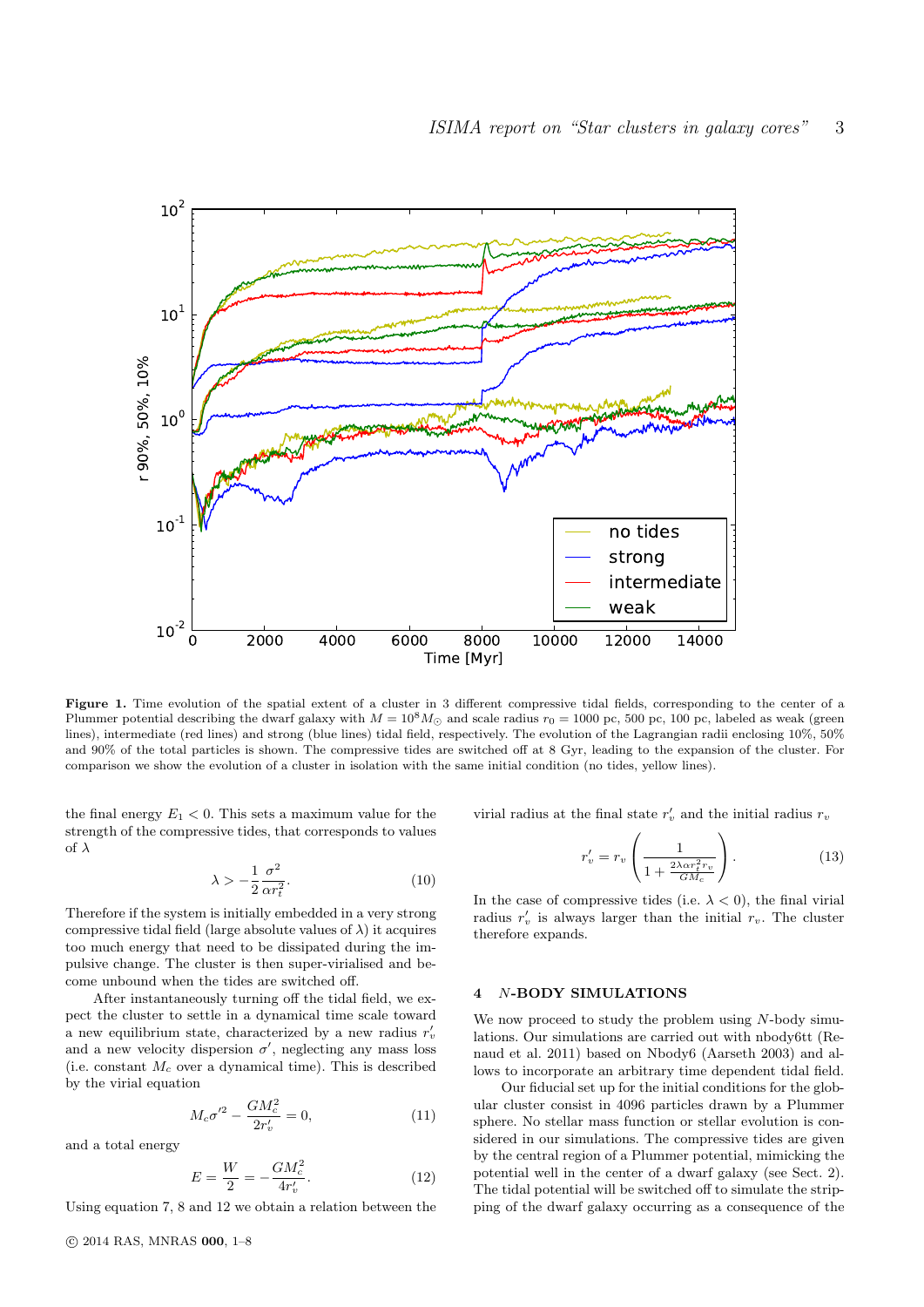

Figure 1. Time evolution of the spatial extent of a cluster in 3 different compressive tidal fields, corresponding to the center of a Plummer potential describing the dwarf galaxy with  $M = 10^8 M_{\odot}$  and scale radius  $r_0 = 1000$  pc, 500 pc, 100 pc, labeled as weak (green lines), intermediate (red lines) and strong (blue lines) tidal field, respectively. The evolution of the Lagrangian radii enclosing 10%, 50% and 90% of the total particles is shown. The compressive tides are switched off at 8 Gyr, leading to the expansion of the cluster. For comparison we show the evolution of a cluster in isolation with the same initial condition (no tides, yellow lines).

the final energy  $E_1 < 0$ . This sets a maximum value for the strength of the compressive tides, that corresponds to values of  $\lambda$ 

$$
\lambda > -\frac{1}{2} \frac{\sigma^2}{\alpha r_t^2}.
$$
\n(10)

Therefore if the system is initially embedded in a very strong compressive tidal field (large absolute values of  $\lambda$ ) it acquires too much energy that need to be dissipated during the impulsive change. The cluster is then super-virialised and become unbound when the tides are switched off.

After instantaneously turning off the tidal field, we expect the cluster to settle in a dynamical time scale toward a new equilibrium state, characterized by a new radius  $r'_v$ and a new velocity dispersion  $\sigma'$ , neglecting any mass loss (i.e. constant  $M_c$  over a dynamical time). This is described by the virial equation

$$
M_c \sigma^{\prime 2} - \frac{GM_c^2}{2r_v'} = 0,
$$
\n(11)

and a total energy

$$
E = \frac{W}{2} = -\frac{GM_c^2}{4r_v'}.\tag{12}
$$

Using equation 7, 8 and 12 we obtain a relation between the

virial radius at the final state  $r'_v$  and the initial radius  $r_v$ 

$$
r'_{v} = r_{v} \left( \frac{1}{1 + \frac{2\lambda \alpha r_{t}^{2} r_{v}}{GM_{c}}} \right). \tag{13}
$$

In the case of compressive tides (i.e.  $\lambda < 0$ ), the final virial radius  $r'_v$  is always larger than the initial  $r_v$ . The cluster therefore expands.

## 4 N-BODY SIMULATIONS

We now proceed to study the problem using  $N$ -body simulations. Our simulations are carried out with nbody6tt (Renaud et al. 2011) based on Nbody6 (Aarseth 2003) and allows to incorporate an arbitrary time dependent tidal field.

Our fiducial set up for the initial conditions for the globular cluster consist in 4096 particles drawn by a Plummer sphere. No stellar mass function or stellar evolution is considered in our simulations. The compressive tides are given by the central region of a Plummer potential, mimicking the potential well in the center of a dwarf galaxy (see Sect. 2). The tidal potential will be switched off to simulate the stripping of the dwarf galaxy occurring as a consequence of the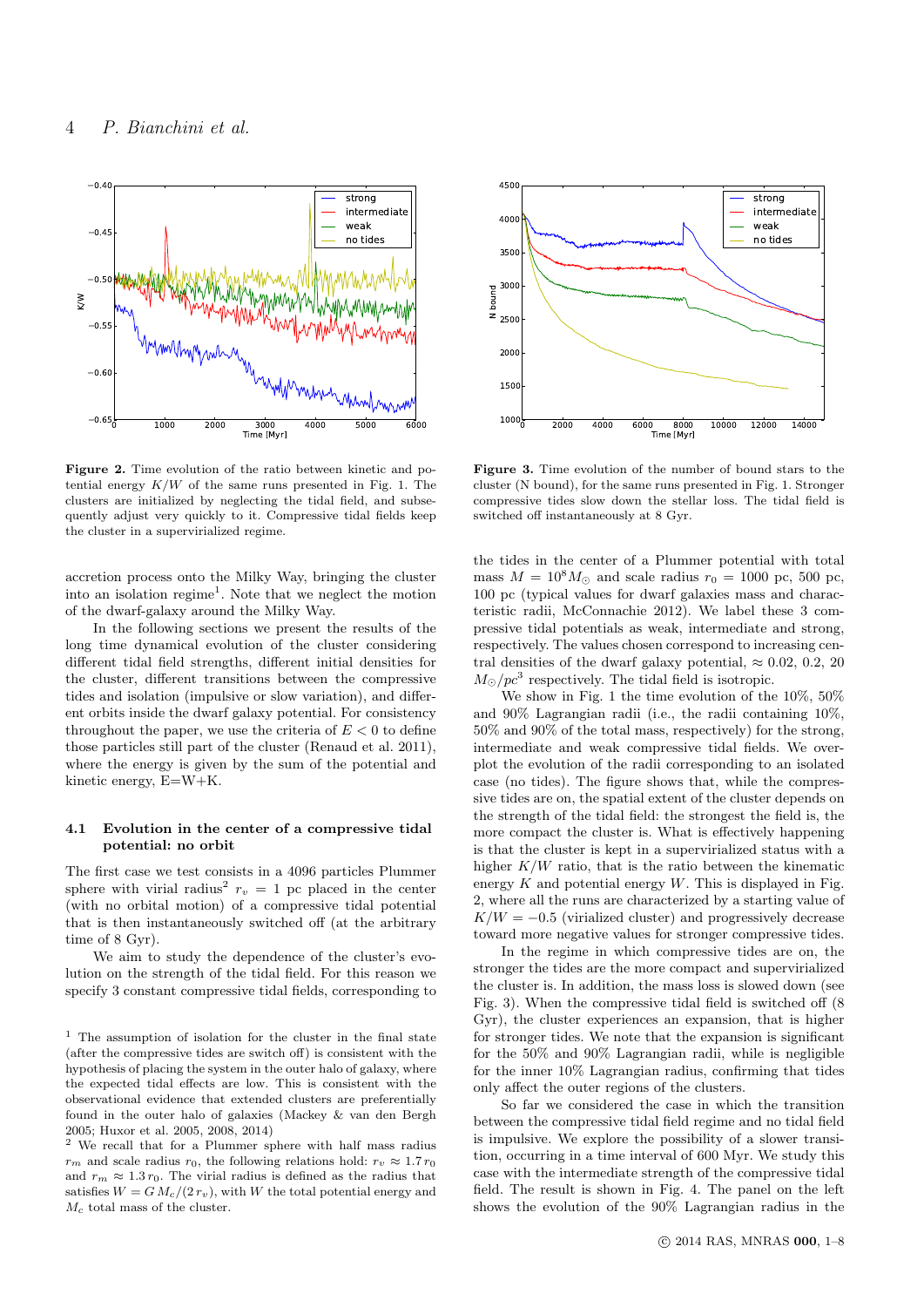

Figure 2. Time evolution of the ratio between kinetic and potential energy  $K/W$  of the same runs presented in Fig. 1. The clusters are initialized by neglecting the tidal field, and subsequently adjust very quickly to it. Compressive tidal fields keep the cluster in a supervirialized regime.

accretion process onto the Milky Way, bringing the cluster into an isolation regime<sup>1</sup>. Note that we neglect the motion of the dwarf-galaxy around the Milky Way.

In the following sections we present the results of the long time dynamical evolution of the cluster considering different tidal field strengths, different initial densities for the cluster, different transitions between the compressive tides and isolation (impulsive or slow variation), and different orbits inside the dwarf galaxy potential. For consistency throughout the paper, we use the criteria of  $E < 0$  to define those particles still part of the cluster (Renaud et al. 2011), where the energy is given by the sum of the potential and kinetic energy, E=W+K.

## 4.1 Evolution in the center of a compressive tidal potential: no orbit

The first case we test consists in a 4096 particles Plummer sphere with virial radius<sup>2</sup>  $r_v = 1$  pc placed in the center (with no orbital motion) of a compressive tidal potential that is then instantaneously switched off (at the arbitrary time of 8 Gyr).

We aim to study the dependence of the cluster's evolution on the strength of the tidal field. For this reason we specify 3 constant compressive tidal fields, corresponding to



Figure 3. Time evolution of the number of bound stars to the cluster (N bound), for the same runs presented in Fig. 1. Stronger compressive tides slow down the stellar loss. The tidal field is switched off instantaneously at 8 Gyr.

the tides in the center of a Plummer potential with total mass  $M = 10^8 M_{\odot}$  and scale radius  $r_0 = 1000$  pc, 500 pc, 100 pc (typical values for dwarf galaxies mass and characteristic radii, McConnachie 2012). We label these 3 compressive tidal potentials as weak, intermediate and strong, respectively. The values chosen correspond to increasing central densities of the dwarf galaxy potential,  $\approx 0.02, 0.2, 20$  $M_{\odot}/pc^3$  respectively. The tidal field is isotropic.

We show in Fig. 1 the time evolution of the  $10\%$ ,  $50\%$ and 90% Lagrangian radii (i.e., the radii containing 10%, 50% and 90% of the total mass, respectively) for the strong, intermediate and weak compressive tidal fields. We overplot the evolution of the radii corresponding to an isolated case (no tides). The figure shows that, while the compressive tides are on, the spatial extent of the cluster depends on the strength of the tidal field: the strongest the field is, the more compact the cluster is. What is effectively happening is that the cluster is kept in a supervirialized status with a higher  $K/W$  ratio, that is the ratio between the kinematic energy  $K$  and potential energy  $W$ . This is displayed in Fig. 2, where all the runs are characterized by a starting value of  $K/W = -0.5$  (virialized cluster) and progressively decrease toward more negative values for stronger compressive tides.

In the regime in which compressive tides are on, the stronger the tides are the more compact and supervirialized the cluster is. In addition, the mass loss is slowed down (see Fig. 3). When the compressive tidal field is switched off (8 Gyr), the cluster experiences an expansion, that is higher for stronger tides. We note that the expansion is significant for the 50% and 90% Lagrangian radii, while is negligible for the inner 10% Lagrangian radius, confirming that tides only affect the outer regions of the clusters.

So far we considered the case in which the transition between the compressive tidal field regime and no tidal field is impulsive. We explore the possibility of a slower transition, occurring in a time interval of 600 Myr. We study this case with the intermediate strength of the compressive tidal field. The result is shown in Fig. 4. The panel on the left shows the evolution of the 90% Lagrangian radius in the

<sup>&</sup>lt;sup>1</sup> The assumption of isolation for the cluster in the final state (after the compressive tides are switch off) is consistent with the hypothesis of placing the system in the outer halo of galaxy, where the expected tidal effects are low. This is consistent with the observational evidence that extended clusters are preferentially found in the outer halo of galaxies (Mackey & van den Bergh 2005; Huxor et al. 2005, 2008, 2014)

<sup>2</sup> We recall that for a Plummer sphere with half mass radius  $r_m$  and scale radius  $r_0$ , the following relations hold:  $r_v \approx 1.7 r_0$ and  $r_m \approx 1.3 r_0$ . The virial radius is defined as the radius that satisfies  $W = G M_c/(2 r_v)$ , with W the total potential energy and  $M_c$  total mass of the cluster.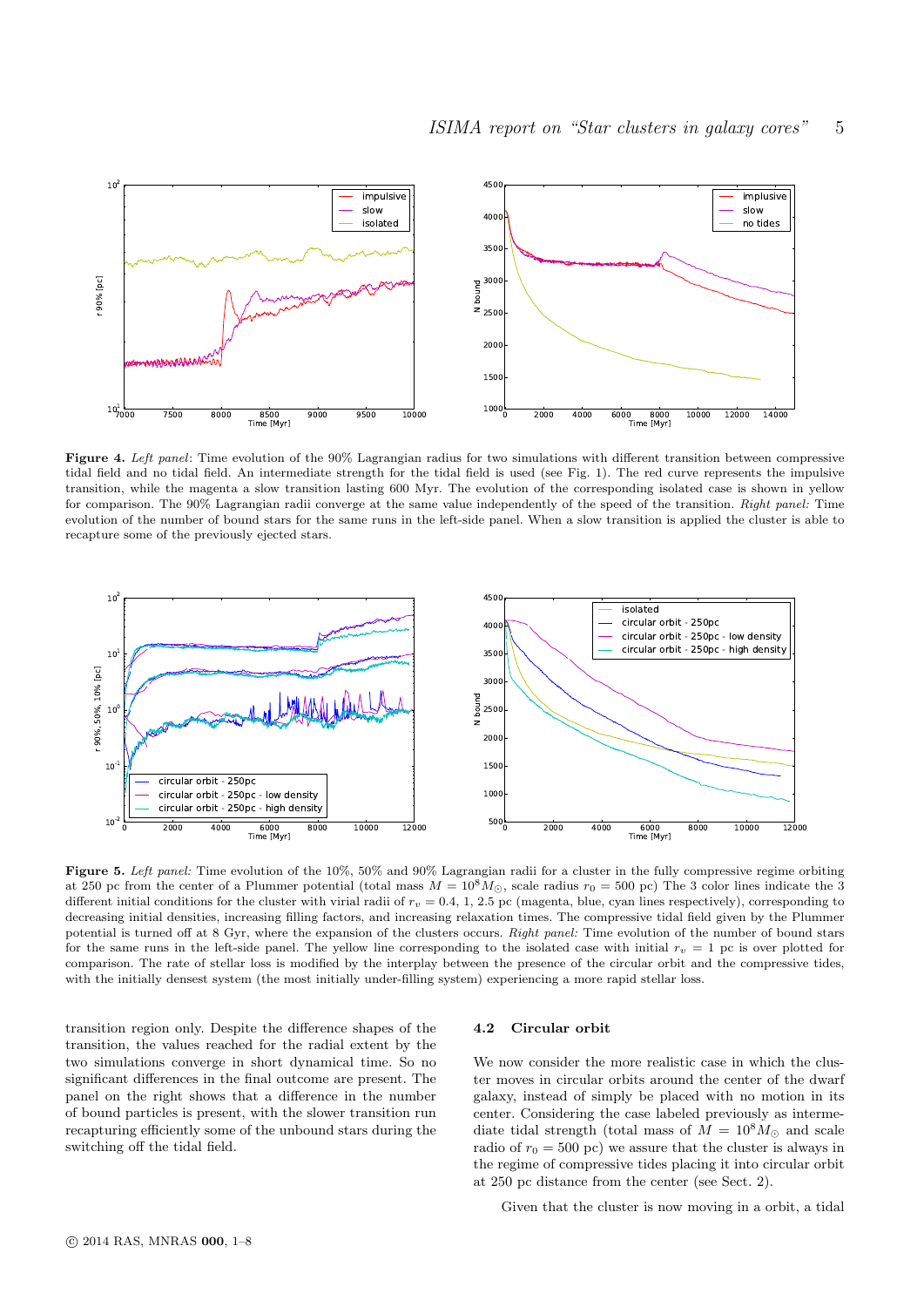

Figure 4. Left panel: Time evolution of the 90% Lagrangian radius for two simulations with different transition between compressive tidal field and no tidal field. An intermediate strength for the tidal field is used (see Fig. 1). The red curve represents the impulsive transition, while the magenta a slow transition lasting 600 Myr. The evolution of the corresponding isolated case is shown in yellow for comparison. The 90% Lagrangian radii converge at the same value independently of the speed of the transition. Right panel: Time evolution of the number of bound stars for the same runs in the left-side panel. When a slow transition is applied the cluster is able to recapture some of the previously ejected stars.



Figure 5. Left panel: Time evolution of the 10%, 50% and 90% Lagrangian radii for a cluster in the fully compressive regime orbiting at 250 pc from the center of a Plummer potential (total mass  $M = 10^8 M_{\odot}$ , scale radius  $r_0 = 500$  pc) The 3 color lines indicate the 3 different initial conditions for the cluster with virial radii of  $r_v = 0.4$ , 1, 2.5 pc (magenta, blue, cyan lines respectively), corresponding to decreasing initial densities, increasing filling factors, and increasing relaxation times. The compressive tidal field given by the Plummer potential is turned off at 8 Gyr, where the expansion of the clusters occurs. Right panel: Time evolution of the number of bound stars for the same runs in the left-side panel. The yellow line corresponding to the isolated case with initial  $r_v = 1$  pc is over plotted for comparison. The rate of stellar loss is modified by the interplay between the presence of the circular orbit and the compressive tides, with the initially densest system (the most initially under-filling system) experiencing a more rapid stellar loss.

transition region only. Despite the difference shapes of the transition, the values reached for the radial extent by the two simulations converge in short dynamical time. So no significant differences in the final outcome are present. The panel on the right shows that a difference in the number of bound particles is present, with the slower transition run recapturing efficiently some of the unbound stars during the switching off the tidal field.

## 4.2 Circular orbit

We now consider the more realistic case in which the cluster moves in circular orbits around the center of the dwarf galaxy, instead of simply be placed with no motion in its center. Considering the case labeled previously as intermediate tidal strength (total mass of  $M = 10^8 M_{\odot}$  and scale radio of  $r_0 = 500$  pc) we assure that the cluster is always in the regime of compressive tides placing it into circular orbit at 250 pc distance from the center (see Sect. 2).

Given that the cluster is now moving in a orbit, a tidal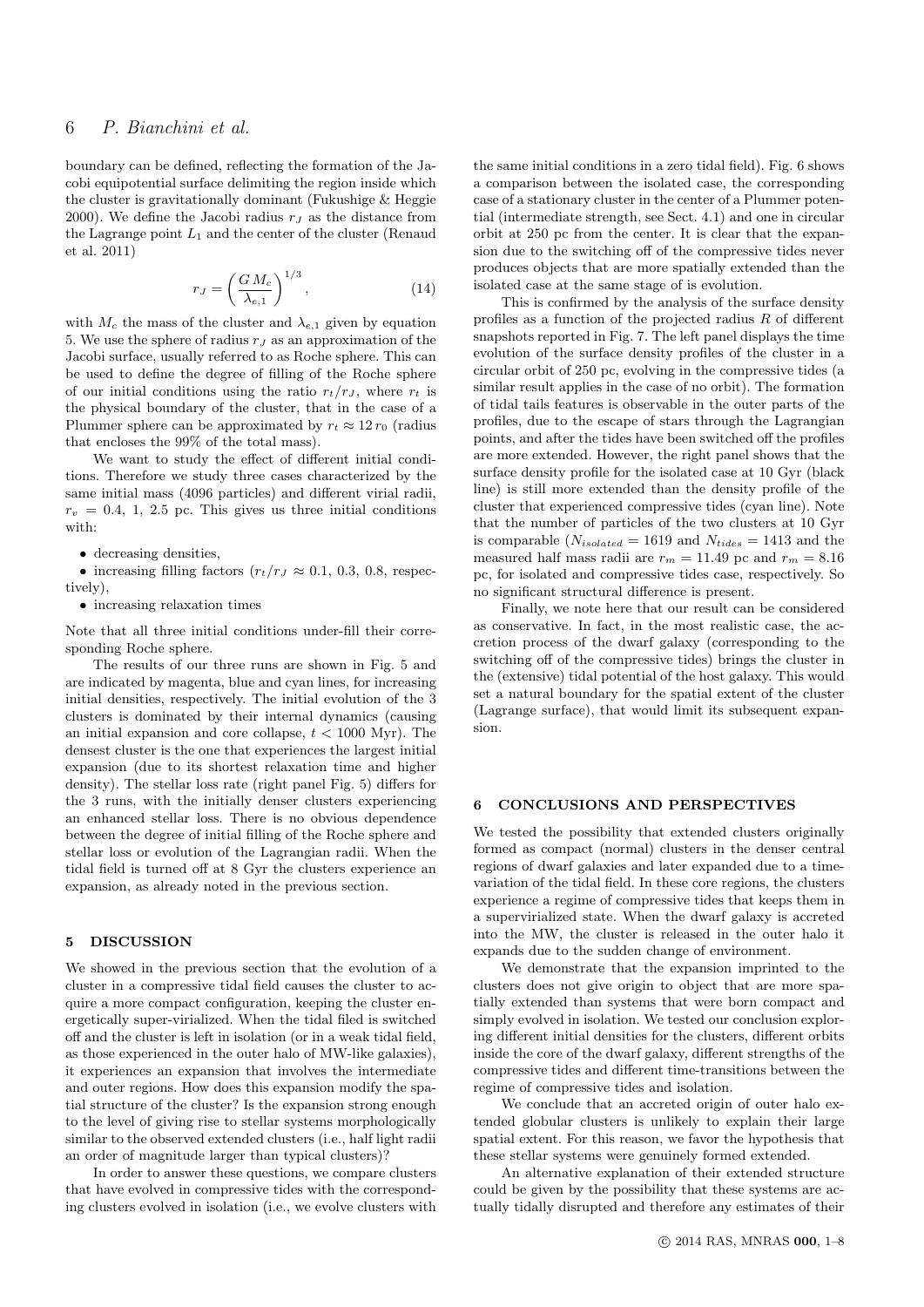# 6 P. Bianchini et al.

boundary can be defined, reflecting the formation of the Jacobi equipotential surface delimiting the region inside which the cluster is gravitationally dominant (Fukushige & Heggie 2000). We define the Jacobi radius  $r<sub>J</sub>$  as the distance from the Lagrange point  $L_1$  and the center of the cluster (Renaud et al. 2011)

$$
r_J = \left(\frac{GM_c}{\lambda_{e,1}}\right)^{1/3},\tag{14}
$$

with  $M_c$  the mass of the cluster and  $\lambda_{e,1}$  given by equation 5. We use the sphere of radius  $r<sub>J</sub>$  as an approximation of the Jacobi surface, usually referred to as Roche sphere. This can be used to define the degree of filling of the Roche sphere of our initial conditions using the ratio  $r_t/r_J$ , where  $r_t$  is the physical boundary of the cluster, that in the case of a Plummer sphere can be approximated by  $r_t \approx 12 r_0$  (radius that encloses the 99% of the total mass).

We want to study the effect of different initial conditions. Therefore we study three cases characterized by the same initial mass (4096 particles) and different virial radii,  $r_v = 0.4, 1, 2.5$  pc. This gives us three initial conditions with:

• decreasing densities,

• increasing filling factors  $(r_t/r_J \approx 0.1, 0.3, 0.8,$  respectively),

• increasing relaxation times

Note that all three initial conditions under-fill their corresponding Roche sphere.

The results of our three runs are shown in Fig. 5 and are indicated by magenta, blue and cyan lines, for increasing initial densities, respectively. The initial evolution of the 3 clusters is dominated by their internal dynamics (causing an initial expansion and core collapse,  $t < 1000$  Myr). The densest cluster is the one that experiences the largest initial expansion (due to its shortest relaxation time and higher density). The stellar loss rate (right panel Fig. 5) differs for the 3 runs, with the initially denser clusters experiencing an enhanced stellar loss. There is no obvious dependence between the degree of initial filling of the Roche sphere and stellar loss or evolution of the Lagrangian radii. When the tidal field is turned off at 8 Gyr the clusters experience an expansion, as already noted in the previous section.

# 5 DISCUSSION

We showed in the previous section that the evolution of a cluster in a compressive tidal field causes the cluster to acquire a more compact configuration, keeping the cluster energetically super-virialized. When the tidal filed is switched off and the cluster is left in isolation (or in a weak tidal field, as those experienced in the outer halo of MW-like galaxies), it experiences an expansion that involves the intermediate and outer regions. How does this expansion modify the spatial structure of the cluster? Is the expansion strong enough to the level of giving rise to stellar systems morphologically similar to the observed extended clusters (i.e., half light radii an order of magnitude larger than typical clusters)?

In order to answer these questions, we compare clusters that have evolved in compressive tides with the corresponding clusters evolved in isolation (i.e., we evolve clusters with

the same initial conditions in a zero tidal field). Fig. 6 shows a comparison between the isolated case, the corresponding case of a stationary cluster in the center of a Plummer potential (intermediate strength, see Sect. 4.1) and one in circular orbit at 250 pc from the center. It is clear that the expansion due to the switching off of the compressive tides never produces objects that are more spatially extended than the isolated case at the same stage of is evolution.

This is confirmed by the analysis of the surface density profiles as a function of the projected radius  $R$  of different snapshots reported in Fig. 7. The left panel displays the time evolution of the surface density profiles of the cluster in a circular orbit of 250 pc, evolving in the compressive tides (a similar result applies in the case of no orbit). The formation of tidal tails features is observable in the outer parts of the profiles, due to the escape of stars through the Lagrangian points, and after the tides have been switched off the profiles are more extended. However, the right panel shows that the surface density profile for the isolated case at 10 Gyr (black line) is still more extended than the density profile of the cluster that experienced compressive tides (cyan line). Note that the number of particles of the two clusters at 10 Gyr is comparable ( $N_{isolated} = 1619$  and  $N_{tides} = 1413$  and the measured half mass radii are  $r_m = 11.49$  pc and  $r_m = 8.16$ pc, for isolated and compressive tides case, respectively. So no significant structural difference is present.

Finally, we note here that our result can be considered as conservative. In fact, in the most realistic case, the accretion process of the dwarf galaxy (corresponding to the switching off of the compressive tides) brings the cluster in the (extensive) tidal potential of the host galaxy. This would set a natural boundary for the spatial extent of the cluster (Lagrange surface), that would limit its subsequent expansion.

#### 6 CONCLUSIONS AND PERSPECTIVES

We tested the possibility that extended clusters originally formed as compact (normal) clusters in the denser central regions of dwarf galaxies and later expanded due to a timevariation of the tidal field. In these core regions, the clusters experience a regime of compressive tides that keeps them in a supervirialized state. When the dwarf galaxy is accreted into the MW, the cluster is released in the outer halo it expands due to the sudden change of environment.

We demonstrate that the expansion imprinted to the clusters does not give origin to object that are more spatially extended than systems that were born compact and simply evolved in isolation. We tested our conclusion exploring different initial densities for the clusters, different orbits inside the core of the dwarf galaxy, different strengths of the compressive tides and different time-transitions between the regime of compressive tides and isolation.

We conclude that an accreted origin of outer halo extended globular clusters is unlikely to explain their large spatial extent. For this reason, we favor the hypothesis that these stellar systems were genuinely formed extended.

An alternative explanation of their extended structure could be given by the possibility that these systems are actually tidally disrupted and therefore any estimates of their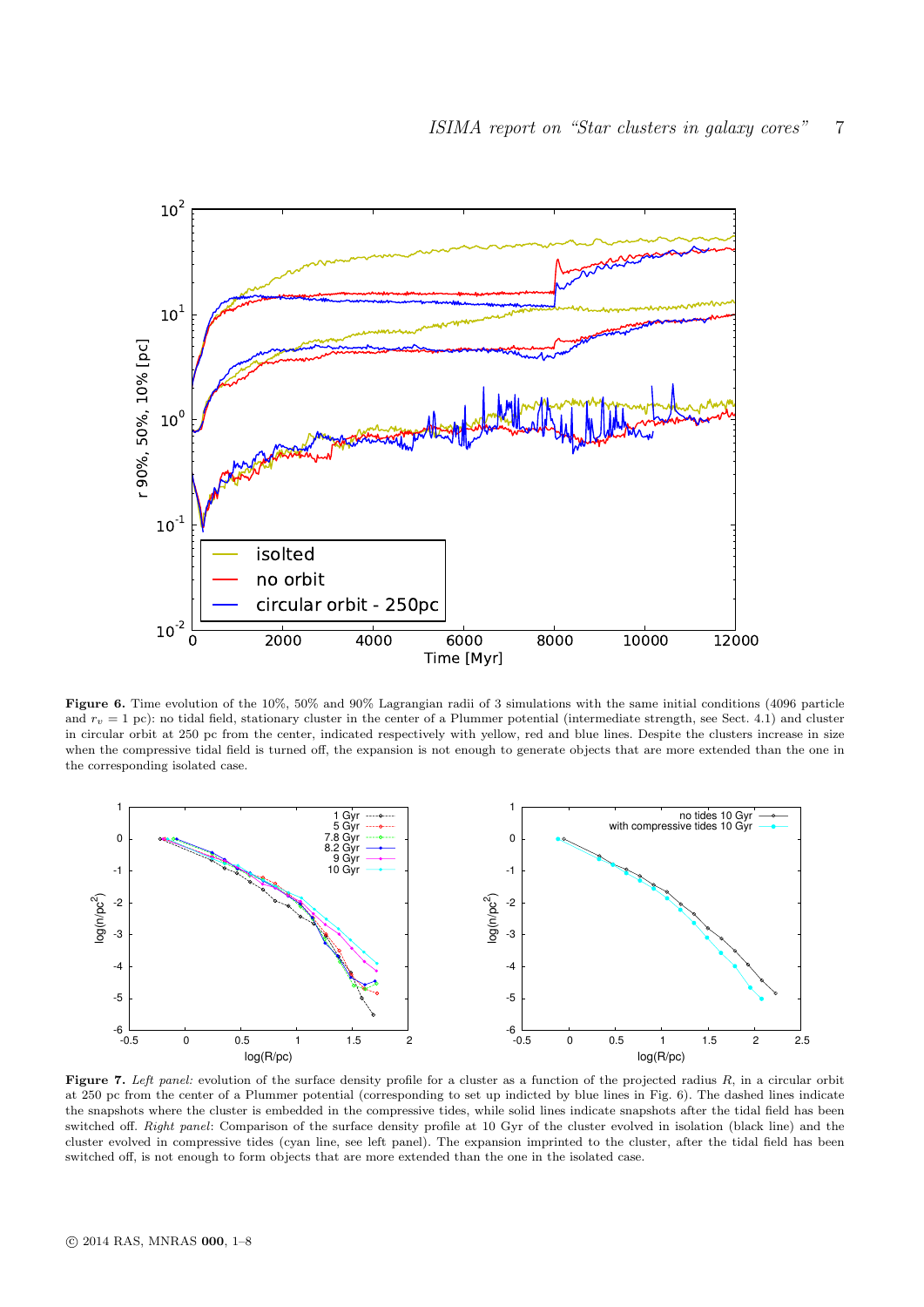

Figure 6. Time evolution of the 10%, 50% and 90% Lagrangian radii of 3 simulations with the same initial conditions (4096 particle and  $r_v = 1$  pc): no tidal field, stationary cluster in the center of a Plummer potential (intermediate strength, see Sect. 4.1) and cluster in circular orbit at 250 pc from the center, indicated respectively with yellow, red and blue lines. Despite the clusters increase in size when the compressive tidal field is turned off, the expansion is not enough to generate objects that are more extended than the one in the corresponding isolated case.



Figure 7. Left panel: evolution of the surface density profile for a cluster as a function of the projected radius  $R$ , in a circular orbit at 250 pc from the center of a Plummer potential (corresponding to set up indicted by blue lines in Fig. 6). The dashed lines indicate the snapshots where the cluster is embedded in the compressive tides, while solid lines indicate snapshots after the tidal field has been switched off. Right panel: Comparison of the surface density profile at 10 Gyr of the cluster evolved in isolation (black line) and the cluster evolved in compressive tides (cyan line, see left panel). The expansion imprinted to the cluster, after the tidal field has been switched off, is not enough to form objects that are more extended than the one in the isolated case.